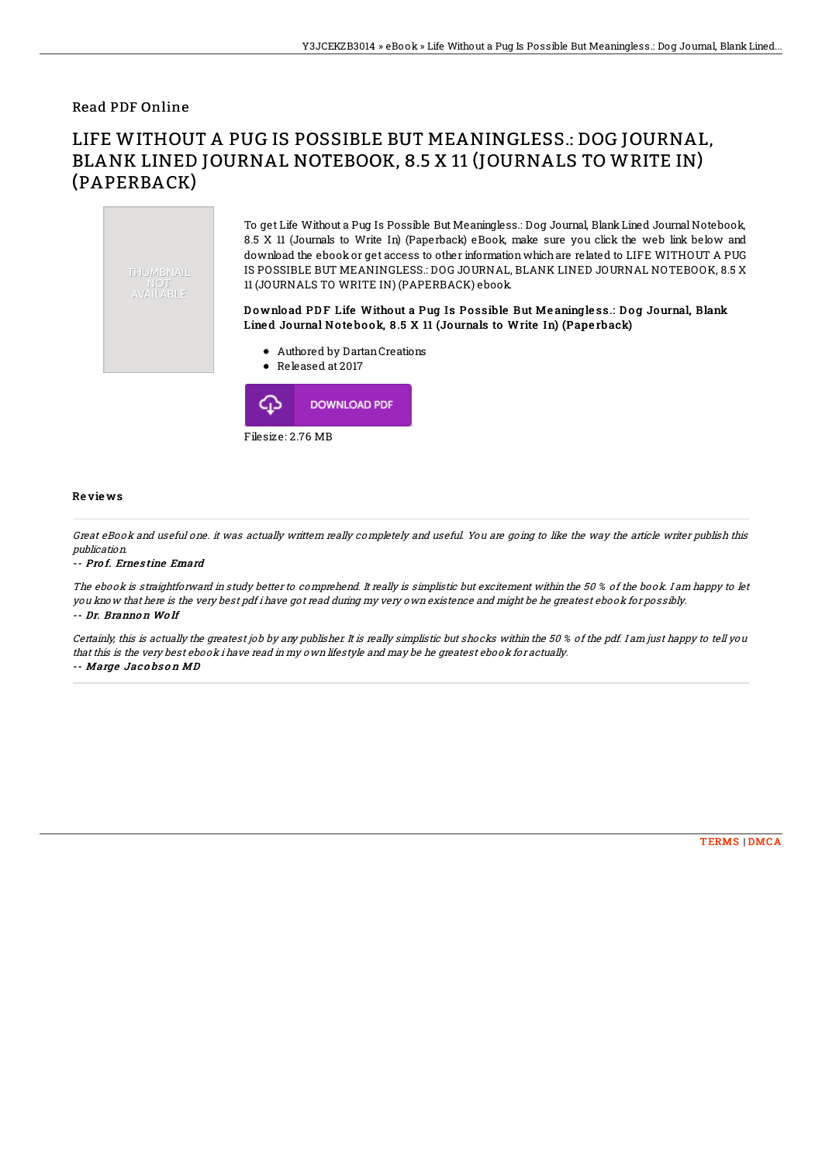## Read PDF Online

# LIFE WITHOUT A PUG IS POSSIBLE BUT MEANINGLESS.: DOG JOURNAL, BLANK LINED JOURNAL NOTEBOOK, 8.5 X 11 (JOURNALS TO WRITE IN) (PAPERBACK)



To get Life Without a Pug Is Possible But Meaningless.: Dog Journal, Blank Lined Journal Notebook, 8.5 X 11 (Journals to Write In) (Paperback) eBook, make sure you click the web link below and download the ebook or get access to other informationwhich are related to LIFE WITHOUT A PUG IS POSSIBLE BUT MEANINGLESS.: DOG JOURNAL, BLANK LINED JOURNAL NOTEBOOK, 8.5 X 11 (JOURNALS TO WRITE IN) (PAPERBACK) ebook.

### Download PDF Life Without a Pug Is Possible But Meaningless.: Dog Journal, Blank Line d Journal No te bo ok, 8 .5 X 11 (Journals to Write In) (Pape rback)

- Authored by DartanCreations
- Released at 2017



#### Re vie ws

Great eBook and useful one. it was actually writtern really completely and useful. You are going to like the way the article writer publish this publication.

#### -- Prof. Ernestine Emard

The ebook is straightforward in study better to comprehend. It really is simplistic but excitement within the 50 % of the book. I am happy to let you know that here is the very best pdf i have got read during my very own existence and might be he greatest ebook for possibly. -- Dr. Branno <sup>n</sup> Wo lf

Certainly, this is actually the greatest job by any publisher. It is really simplistic but shocks within the 50 % of the pdf. I am just happy to tell you that this is the very best ebook i have read in my own lifestyle and may be he greatest ebook for actually. -- Marge Jacobson MD